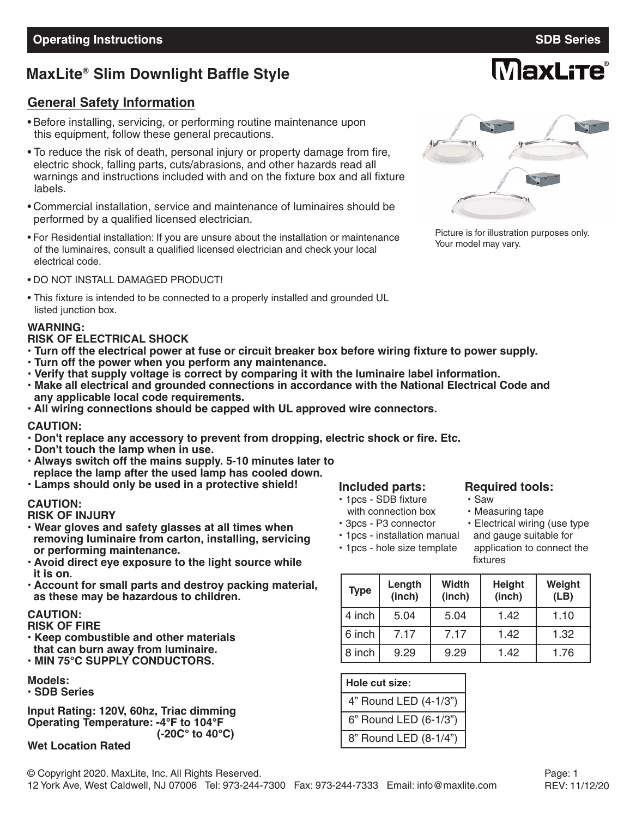**MaxLite** 

# **MaxLite Slim Downlight Baffle Style ®**

### **General Safety Information**

- Before installing, servicing, or performing routine maintenance upon this equipment, follow these general precautions.
- To reduce the risk of death, personal injury or property damage from fire, electric shock, falling parts, cuts/abrasions, and other hazards read all warnings and instructions included with and on the fixture box and all fixture labels.
- Commercial installation, service and maintenance of luminaires should be performed by a qualified licensed electrician.
- For Residential installation: If you are unsure about the installation or maintenance of the luminaires, consult a qualified licensed electrician and check your local electrical code.
- DO NOT INSTALL DAMAGED PRODUCT!
- This fixture is intended to be connected to a properly installed and grounded UL listed junction box.

#### **WARNING:**

#### **RISK OF ELECTRICAL SHOCK**

- . Turn off the electrical power at fuse or circuit breaker box before wiring fixture to power supply.
- **• Turn off the power when you perform any maintenance.**
- **• Verify that supply voltage is correct by comparing it with the luminaire label information.**
- **• Make all electrical and grounded connections in accordance with the National Electrical Code and any applicable local code requirements.**
- **• All wiring connections should be capped with UL approved wire connectors.**

#### **CAUTION:**

- **• Don't replace any accessory to prevent from dropping, electric shock or fire. Etc.**
- **• Don't touch the lamp when in use.**
- **• Always switch off the mains supply. 5-10 minutes later to replace the lamp after the used lamp has cooled down.**
- **• Lamps should only be used in a protective shield!**

### **CAUTION:**

**RISK OF INJURY**

- **• Wear gloves and safety glasses at all times when removing luminaire from carton, installing, servicing or performing maintenance.**
- **• Avoid direct eye exposure to the light source while it is on.**
- **• Account for small parts and destroy packing material, as these may be hazardous to children.**

### **CAUTION:**

- **RISK OF FIRE**
- **• Keep combustible and other materials that can burn away from luminaire.**
- **• MIN 75°C SUPPLY CONDUCTORS.**
- **Models:**
- **• SDB Series**

**Input Rating: 120V, 60hz, Triac dimming Operating Temperature: -4°F to 104°F (-20C° to 40°C)**

#### **Wet Location Rated**

# **Included parts: Required tools:**<br> **Required tools:**<br> **Required tools:**

- **•** 1pcs SDB fixture
- with connection box **•** Measuring tape<br>• 3pcs P3 connector Electrical wiring
- 
- **•** 1pcs installation manual and gauge suitable for
- 

#### **•** 1pcs - hole size template application to connect the fixtures

• Electrical wiring (use type

| <b>Type</b> | Length<br>(inch) | <b>Width</b><br>(inch) | <b>Height</b><br>(inch) | Weight<br>(LB) |
|-------------|------------------|------------------------|-------------------------|----------------|
| 4 inch      | 5.04             | 5.04                   | 1.42                    | 1.10           |
| 6 inch      | 7.17             | 7.17                   | 1.42                    | 1.32           |
| 8 inch      | 9.29             | 9.29                   | 1.42                    | 1.76           |

| Hole cut size:        |
|-----------------------|
| 4" Round LED (4-1/3") |
| 6" Round LED (6-1/3") |
| 8" Round LED (8-1/4") |



Picture is for illustration purposes only. Your model may vary.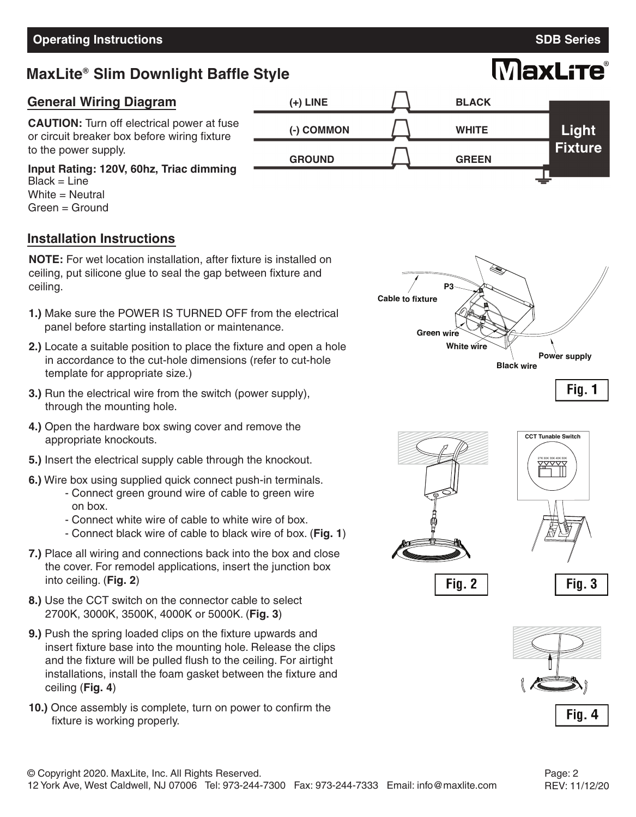# **MaxLite Slim Downlight Baffle Style ®**

**(+) LINE**

**(-) COMMON**

**GROUND**

## **General Wiring Diagram**

**CAUTION:** Turn off electrical power at fuse or circuit breaker box before wiring fixture to the power supply.

### **Input Rating: 120V, 60hz, Triac dimming**

Black = Line White  $=$  Neutral Green = Ground

## **Installation Instructions**

**NOTE:** For wet location installation, after fixture is installed on ceiling, put silicone glue to seal the gap between fixture and ceiling.

- **1.)** Make sure the POWER IS TURNED OFF from the electrical panel before starting installation or maintenance.
- **2.)** Locate a suitable position to place the fixture and open a hole in accordance to the cut-hole dimensions (refer to cut-hole template for appropriate size.)
- **3.)** Run the electrical wire from the switch (power supply), through the mounting hole.
- **4.)** Open the hardware box swing cover and remove the appropriate knockouts.
- **5.)** Insert the electrical supply cable through the knockout.
- **6.)** Wire box using supplied quick connect push-in terminals.
	- Connect green ground wire of cable to green wire on box.
	- Connect white wire of cable to white wire of box.
	- Connect black wire of cable to black wire of box. (**Fig. 1**)
- **7.)** Place all wiring and connections back into the box and close the cover. For remodel applications, insert the junction box into ceiling. (**Fig. 2**)
- **8.)** Use the CCT switch on the connector cable to select 2700K, 3000K, 3500K, 4000K or 5000K. (**Fig. 3**)
- **9.)** Push the spring loaded clips on the fixture upwards and insert fixture base into the mounting hole. Release the clips and the fixture will be pulled flush to the ceiling. For airtight installations, install the foam gasket between the fixture and ceiling (**Fig. 4**)
- **10.)** Once assembly is complete, turn on power to confirm the fixture is working properly.



**BLACK**

**WHITE**

**GREEN**



**CCT Tunable Switch**

 $\widetilde{\mathbb{Y}^{\vee\vee}}$ 



Fig. 2





**Light Fixture**

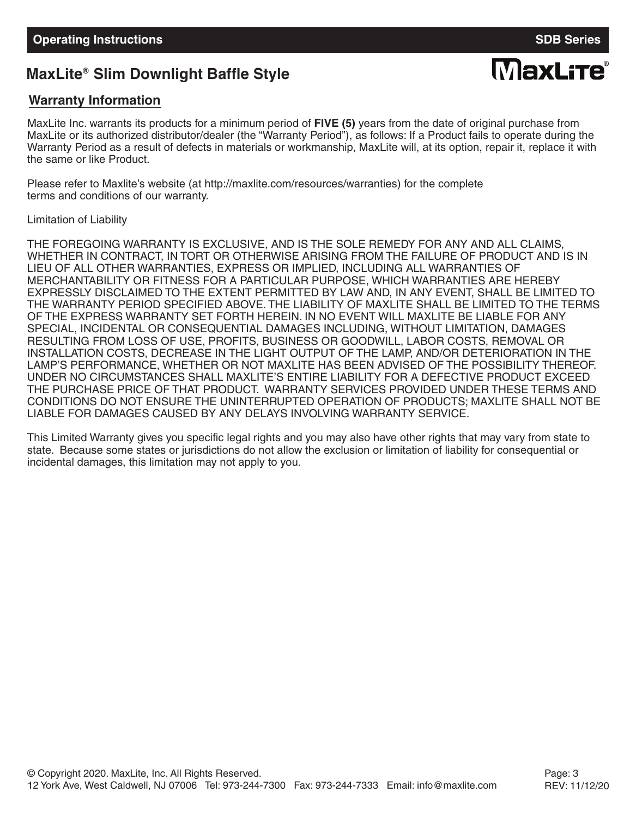# **MaxLite Slim Downlight Baffle Style ®**

# **MaxLite®**

## **Warranty Information**

MaxLite Inc. warrants its products for a minimum period of **FIVE (5)** years from the date of original purchase from MaxLite or its authorized distributor/dealer (the "Warranty Period"), as follows: If a Product fails to operate during the Warranty Period as a result of defects in materials or workmanship, MaxLite will, at its option, repair it, replace it with the same or like Product.

Please refer to Maxlite's website (at http://maxlite.com/resources/warranties) for the complete terms and conditions of our warranty.

Limitation of Liability

THE FOREGOING WARRANTY IS EXCLUSIVE, AND IS THE SOLE REMEDY FOR ANY AND ALL CLAIMS, WHETHER IN CONTRACT, IN TORT OR OTHERWISE ARISING FROM THE FAILURE OF PRODUCT AND IS IN LIEU OF ALL OTHER WARRANTIES, EXPRESS OR IMPLIED, INCLUDING ALL WARRANTIES OF MERCHANTABILITY OR FITNESS FOR A PARTICULAR PURPOSE, WHICH WARRANTIES ARE HEREBY EXPRESSLY DISCLAIMED TO THE EXTENT PERMITTED BY LAW AND, IN ANY EVENT, SHALL BE LIMITED TO THE WARRANTY PERIOD SPECIFIED ABOVE. THE LIABILITY OF MAXLITE SHALL BE LIMITED TO THE TERMS OF THE EXPRESS WARRANTY SET FORTH HEREIN. IN NO EVENT WILL MAXLITE BE LIABLE FOR ANY SPECIAL, INCIDENTAL OR CONSEQUENTIAL DAMAGES INCLUDING, WITHOUT LIMITATION, DAMAGES RESULTING FROM LOSS OF USE, PROFITS, BUSINESS OR GOODWILL, LABOR COSTS, REMOVAL OR INSTALLATION COSTS, DECREASE IN THE LIGHT OUTPUT OF THE LAMP, AND/OR DETERIORATION IN THE LAMP'S PERFORMANCE, WHETHER OR NOT MAXLITE HAS BEEN ADVISED OF THE POSSIBILITY THEREOF. UNDER NO CIRCUMSTANCES SHALL MAXLITE'S ENTIRE LIABILITY FOR A DEFECTIVE PRODUCT EXCEED THE PURCHASE PRICE OF THAT PRODUCT. WARRANTY SERVICES PROVIDED UNDER THESE TERMS AND CONDITIONS DO NOT ENSURE THE UNINTERRUPTED OPERATION OF PRODUCTS; MAXLITE SHALL NOT BE LIABLE FOR DAMAGES CAUSED BY ANY DELAYS INVOLVING WARRANTY SERVICE.

This Limited Warranty gives you specific legal rights and you may also have other rights that may vary from state to state. Because some states or jurisdictions do not allow the exclusion or limitation of liability for consequential or incidental damages, this limitation may not apply to you.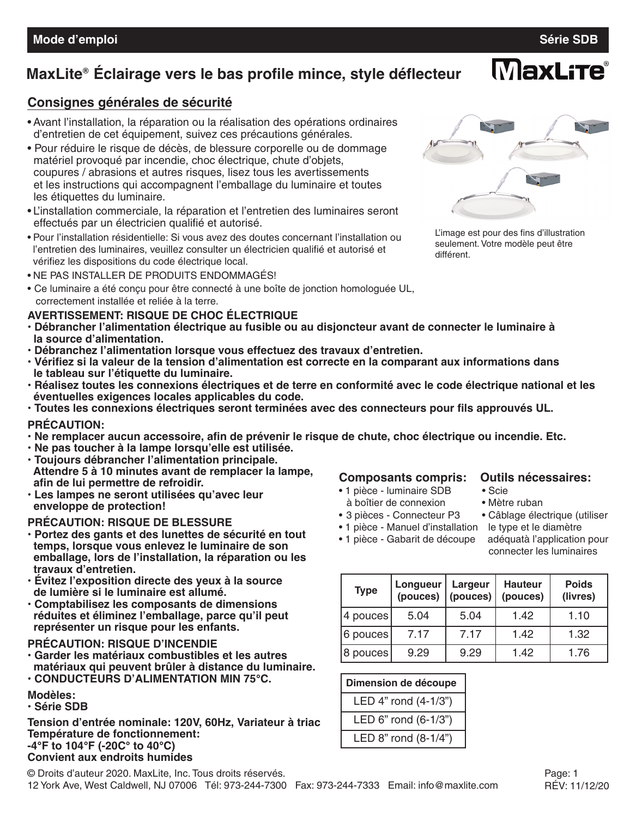**MaxLite** 

# **MaxLite Éclairage vers le bas profile mince, style déflecteur ®**

### **Consignes générales de sécurité**

- Avant l'installation, la réparation ou la réalisation des opérations ordinaires d'entretien de cet équipement, suivez ces précautions générales.
- Pour réduire le risque de décès, de blessure corporelle ou de dommage matériel provoqué par incendie, choc électrique, chute d'objets, coupures / abrasions et autres risques, lisez tous les avertissements et les instructions qui accompagnent l'emballage du luminaire et toutes les étiquettes du luminaire.
- L'installation commerciale, la réparation et l'entretien des luminaires seront effectués par un électricien qualifié et autorisé.
- Pour l'installation résidentielle: Si vous avez des doutes concernant l'installation ou l'entretien des luminaires, veuillez consulter un électricien qualifié et autorisé et vérifiez les dispositions du code électrique local.
- NE PAS INSTALLER DE PRODUITS ENDOMMAGÉS!
- Ce luminaire a été conçu pour être connecté à une boîte de jonction homologuée UL, correctement installée et reliée à la terre.

### **AVERTISSEMENT: RISQUE DE CHOC ÉLECTRIQUE**

- **• Débrancher l'alimentation électrique au fusible ou au disjoncteur avant de connecter le luminaire à la source d'alimentation.**
- **• Débranchez l'alimentation lorsque vous effectuez des travaux d'entretien.**
- **• Vérifiez si la valeur de la tension d'alimentation est correcte en la comparant aux informations dans le tableau sur l'étiquette du luminaire.**
- · Réalisez toutes les connexions électriques et de terre en conformité avec le code électrique national et les **éventuelles exigences locales applicables du code.**
- **• Toutes les connexions électriques seront terminées avec des connecteurs pour fils approuvés UL.**

### **PRÉCAUTION:**

- **• Ne remplacer aucun accessoire, afin de prévenir le risque de chute, choc électrique ou incendie. Etc.**
- **• Ne pas toucher à la lampe lorsqu'elle est utilisée.**
- **• Toujours débrancher l'alimentation principale. Attendre 5 à 10 minutes avant de remplacer la lampe, afin de lui permettre de refroidir.**
- **• Les lampes ne seront utilisées qu'avec leur enveloppe de protection!**

### **PRÉCAUTION: RISQUE DE BLESSURE**

- **• Portez des gants et des lunettes de sécurité en tout temps, lorsque vous enlevez le luminaire de son emballage, lors de l'installation, la réparation ou les travaux d'entretien.**
- **• Évitez l'exposition directe des yeux à la source de lumière si le luminaire est allumé.**
- **• Comptabilisez les composants de dimensions réduites et éliminez l'emballage, parce qu'il peut représenter un risque pour les enfants.**

### **PRÉCAUTION: RISQUE D'INCENDIE**

- **• Garder les matériaux combustibles et les autres matériaux qui peuvent brûler à distance du luminaire.**
- **• CONDUCTEURS D'ALIMENTATION MIN 75°C.**

### **Modèles:**

**• Série SDB**

**Tension d'entrée nominale: 120V, 60Hz, Variateur à triac Température de fonctionnement: -4°F to 104°F (-20C° to 40°C) Convient aux endroits humides**

# **Composants compris: Outils nécessaires:**

- 1 pièce luminaire SDB à boîtier de connexion • Mètre ruban
- 3 pièces Connecteur P3 Câblage électrique (utiliser
- 1 pièce Manuel d'installation le type et le diamètre

• 1 pièce - Gabarit de découpe adéquatà l'application pour

connecter les luminaires

| <b>Type</b> | Longueur<br>(pouces) | Largeur<br>(pouces) | <b>Hauteur</b><br>(pouces) | <b>Poids</b><br>(livres) |
|-------------|----------------------|---------------------|----------------------------|--------------------------|
| 4 pouces    | 5.04                 | 5.04                | 1.42                       | 1.10                     |
| 6 pouces    | 7.17                 | 7.17                | 1.42                       | 1.32                     |
| 8 pouces    | 9.29                 | 9.29                | 1.42                       | 1.76                     |

| Dimension de découpe |  |  |  |  |
|----------------------|--|--|--|--|
| LED 4" rond (4-1/3") |  |  |  |  |
| LED 6" rond (6-1/3") |  |  |  |  |
| LED 8" rond (8-1/4") |  |  |  |  |



L'image est pour des fins d'illustration seulement. Votre modèle peut être différent.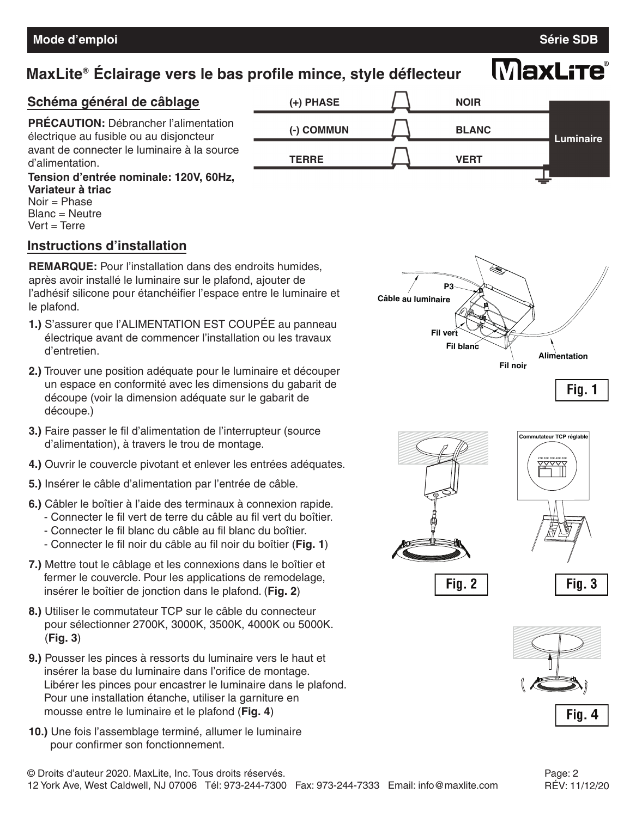# **MaxLite Éclairage vers le bas profile mince, style déflecteur ®**

# **MaxLite®**



**Variateur à triac** Noir = Phase Blanc = Neutre  $Vert = Terre$ 

### **Instructions d'installation**

**REMARQUE:** Pour l'installation dans des endroits humides, après avoir installé le luminaire sur le plafond, ajouter de l'adhésif silicone pour étanchéifier l'espace entre le luminaire et le plafond.

- **1.)** S'assurer que l'ALIMENTATION EST COUPÉE au panneau électrique avant de commencer l'installation ou les travaux d'entretien.
- **2.)** Trouver une position adéquate pour le luminaire et découper un espace en conformité avec les dimensions du gabarit de découpe (voir la dimension adéquate sur le gabarit de découpe.)
- **3.)** Faire passer le fil d'alimentation de l'interrupteur (source d'alimentation), à travers le trou de montage.
- **4.)** Ouvrir le couvercle pivotant et enlever les entrées adéquates.
- **5.)** Insérer le câble d'alimentation par l'entrée de câble.
- **6.)** Câbler le boîtier à l'aide des terminaux à connexion rapide.
	- Connecter le fil vert de terre du câble au fil vert du boîtier.
	- Connecter le fil blanc du câble au fil blanc du boîtier.
	- Connecter le fil noir du câble au fil noir du boîtier (**Fig. 1**)
- **7.)** Mettre tout le câblage et les connexions dans le boîtier et fermer le couvercle. Pour les applications de remodelage, insérer le boîtier de jonction dans le plafond. (**Fig. 2**)
- **8.)** Utiliser le commutateur TCP sur le câble du connecteur pour sélectionner 2700K, 3000K, 3500K, 4000K ou 5000K. (**Fig. 3**)
- **9.)** Pousser les pinces à ressorts du luminaire vers le haut et insérer la base du luminaire dans l'orifice de montage. Libérer les pinces pour encastrer le luminaire dans le plafond. Pour une installation étanche, utiliser la garniture en mousse entre le luminaire et le plafond (**Fig. 4**)
- **10.)** Une fois l'assemblage terminé, allumer le luminaire pour confirmer son fonctionnement.







Fig. 2